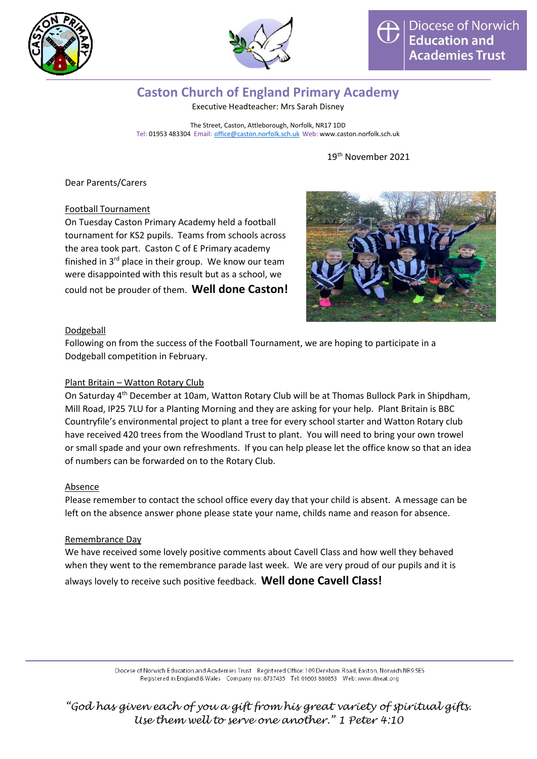



# **Caston Church of England Primary Academy**

Executive Headteacher: Mrs Sarah Disney

The Street, Caston, Attleborough, Norfolk, NR17 1DD Tel: 01953 483304 Email: [office@caston.norfolk.sch.uk](mailto:office@caston.norfolk.sch.uk) Web: www.caston.norfolk.sch.uk

# 19 th November 2021

Dear Parents/Carers

Football Tournament

On Tuesday Caston Primary Academy held a football tournament for KS2 pupils. Teams from schools across the area took part. Caston C of E Primary academy finished in  $3<sup>rd</sup>$  place in their group. We know our team were disappointed with this result but as a school, we could not be prouder of them. **Well done Caston!**



### Dodgeball

Following on from the success of the Football Tournament, we are hoping to participate in a Dodgeball competition in February.

### Plant Britain – Watton Rotary Club

On Saturday 4th December at 10am, Watton Rotary Club will be at Thomas Bullock Park in Shipdham, Mill Road, IP25 7LU for a Planting Morning and they are asking for your help. Plant Britain is BBC Countryfile's environmental project to plant a tree for every school starter and Watton Rotary club have received 420 trees from the Woodland Trust to plant. You will need to bring your own trowel or small spade and your own refreshments. If you can help please let the office know so that an idea of numbers can be forwarded on to the Rotary Club.

### Absence

Please remember to contact the school office every day that your child is absent. A message can be left on the absence answer phone please state your name, childs name and reason for absence.

### Remembrance Day

We have received some lovely positive comments about Cavell Class and how well they behaved when they went to the remembrance parade last week. We are very proud of our pupils and it is always lovely to receive such positive feedback. **Well done Cavell Class!**

> Diocese of Norwich Education and Academies Trust Registered Office: 109 Dereham Road, Easton, Norwich NR9 5ES Registered in England & Wales Company no: 8737435 Tel: 01603 880853 Web: www.dneat.org

*"God has given each of you a gift from his great variety of spiritual gifts. Use them well to serve one another." 1 Peter 4:10*